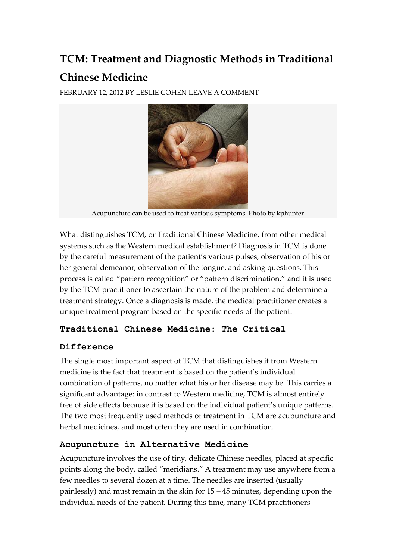# **TCM: Treatment and Diagnostic Methods in Traditional Chinese Medicine**

FEBRUARY 12, 2012 BY [LESLIE COHEN](http://www.decodedscience.com/author/leslie-cohen) [LEAVE A COMMENT](http://www.decodedscience.com/tcm-treatment-and-diagnostic-methods-in-traditional-chinese-medicine/10224#comments)



Acupuncture can be used to treat various symptoms. Photo by kphunter

What distinguishes TCM, or Traditional Chinese Medicine, from other medical systems such as the Western medical establishment? Diagnosis in TCM is done by the careful measurement of the patient's various pulses, observation of his or her general demeanor, observation of the tongue, and asking questions. This process is called "pattern recognition" or "pattern discrimination," and it is used by the TCM practitioner to ascertain the nature of the problem and determine a treatment strategy. Once a diagnosis is made, the medical practitioner creates a unique treatment program based on the specific needs of the patient.

## **Traditional Chinese Medicine: The Critical**

### **Difference**

The single most important aspect of TCM that distinguishes it from Western medicine is the fact that treatment is based on the patient's individual combination of patterns, no matter what his or her disease may be. This carries a significant advantage: in contrast to Western medicine, TCM is almost entirely free of side effects because it is based on the individual patient's unique patterns. The two most frequently used methods of treatment in TCM are acupuncture and herbal medicines, and most often they are used in combination.

## **Acupuncture in Alternative Medicine**

Acupuncture involves the use of tiny, delicate Chinese needles, placed at specific points along the body, called "meridians." A treatment may use anywhere from a few needles to several dozen at a time. The needles are inserted (usually painlessly) and must remain in the skin for 15 – 45 minutes, depending upon the individual needs of the patient. During this time, many TCM practitioners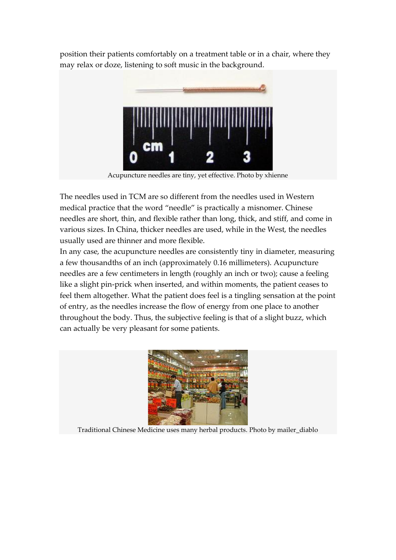position their patients comfortably on a treatment table or in a chair, where they may relax or doze, listening to soft music in the background.



Acupuncture needles are tiny, yet effective. Photo by xhienne

The needles used in TCM are so different from the needles used in Western medical practice that the word "needle" is practically a misnomer. Chinese needles are short, thin, and flexible rather than long, thick, and stiff, and come in various sizes. In China, thicker needles are used, while in the West, the needles usually used are thinner and more flexible.

In any case, the acupuncture needles are consistently tiny in diameter, measuring a few thousandths of an inch (approximately 0.16 millimeters). Acupuncture needles are a few centimeters in length (roughly an inch or two); cause a feeling like a slight pin-prick when inserted, and within moments, the patient ceases to feel them altogether. What the patient does feel is a tingling sensation at the point of entry, as the needles increase the flow of energy from one place to another throughout the body. Thus, the subjective feeling is that of a slight buzz, which can actually be very pleasant for some patients.



Traditional Chinese Medicine uses many herbal products. Photo by mailer\_diablo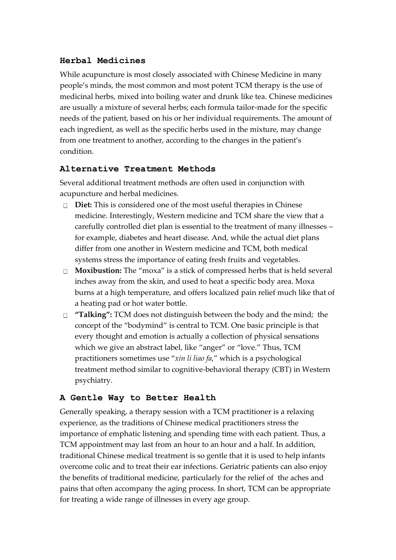#### **Herbal Medicines**

While acupuncture is most closely associated with Chinese Medicine in many people's minds, the most common and most potent TCM therapy is the use of medicinal herbs, mixed into boiling water and drunk like tea. Chinese medicines are usually a mixture of several herbs; each formula tailor-made for the specific needs of the patient, based on his or her individual requirements. The amount of each ingredient, as well as the specific herbs used in the mixture, may change from one treatment to another, according to the changes in the patient's condition.

#### **Alternative Treatment Methods**

Several additional treatment methods are often used in conjunction with acupuncture and herbal medicines.

- **Diet:** This is considered one of the most useful therapies in Chinese medicine. Interestingly, Western medicine and TCM share the view that a carefully controlled diet plan is essential to the treatment of many illnesses – for example, diabetes and heart disease. And, while the actual diet plans differ from one another in Western medicine and TCM, both medical systems stress the importance of eating fresh fruits and vegetables.
- **Moxibustion:** The "moxa" is a stick of compressed herbs that is held several inches away from the skin, and used to heat a specific body area. Moxa burns at a high temperature, and offers localized pain relief much like that of a heating pad or hot water bottle.
- **T "Talking":** TCM does not distinguish between the body and the mind; the concept of the "bodymind" is central to TCM. One basic principle is that every thought and emotion is actually a collection of physical sensations which we give an abstract label, like "anger" or "love." Thus, TCM practitioners sometimes use "*xin li liao fa*," which is a psychological treatment method similar to cognitive-behavioral therapy (CBT) in Western psychiatry.

### **A Gentle Way to Better Health**

Generally speaking, a therapy session with a TCM practitioner is a relaxing experience, as the traditions of Chinese medical practitioners stress the importance of emphatic listening and spending time with each patient. Thus, a TCM appointment may last from an hour to an hour and a half. In addition, traditional Chinese medical treatment is so gentle that it is used to help infants overcome colic and to treat their ear infections. Geriatric patients can also enjoy the benefits of traditional medicine, particularly for the relief of the aches and pains that often accompany the aging process. In short, TCM can be appropriate for treating a wide range of illnesses in every age group.